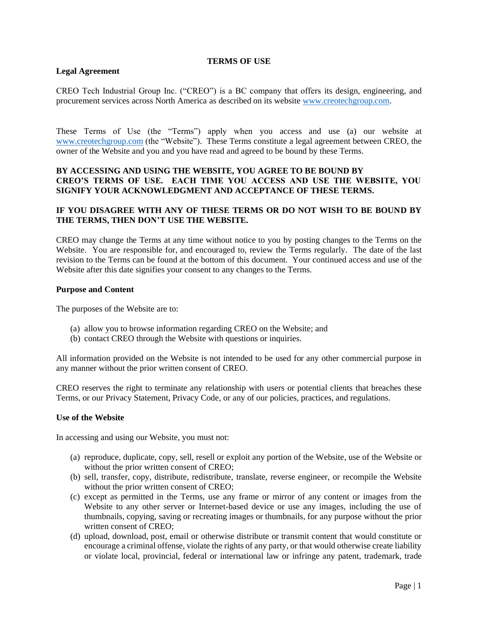#### **TERMS OF USE**

# **Legal Agreement**

CREO Tech Industrial Group Inc. ("CREO") is a BC company that offers its design, engineering, and procurement services across North America as described on its website [www.creotechgroup.com.](http://www.creotechgroup.com/)

These Terms of Use (the "Terms") apply when you access and use (a) our website at [www.creotechgroup.com](http://www.creotechgroup.com/) (the "Website"). These Terms constitute a legal agreement between CREO, the owner of the Website and you and you have read and agreed to be bound by these Terms.

# **BY ACCESSING AND USING THE WEBSITE, YOU AGREE TO BE BOUND BY CREO'S TERMS OF USE. EACH TIME YOU ACCESS AND USE THE WEBSITE, YOU SIGNIFY YOUR ACKNOWLEDGMENT AND ACCEPTANCE OF THESE TERMS.**

# **IF YOU DISAGREE WITH ANY OF THESE TERMS OR DO NOT WISH TO BE BOUND BY THE TERMS, THEN DON'T USE THE WEBSITE.**

CREO may change the Terms at any time without notice to you by posting changes to the Terms on the Website. You are responsible for, and encouraged to, review the Terms regularly. The date of the last revision to the Terms can be found at the bottom of this document. Your continued access and use of the Website after this date signifies your consent to any changes to the Terms.

### **Purpose and Content**

The purposes of the Website are to:

- (a) allow you to browse information regarding CREO on the Website; and
- (b) contact CREO through the Website with questions or inquiries.

All information provided on the Website is not intended to be used for any other commercial purpose in any manner without the prior written consent of CREO.

CREO reserves the right to terminate any relationship with users or potential clients that breaches these Terms, or our Privacy Statement, Privacy Code, or any of our policies, practices, and regulations.

#### **Use of the Website**

In accessing and using our Website, you must not:

- (a) reproduce, duplicate, copy, sell, resell or exploit any portion of the Website, use of the Website or without the prior written consent of CREO;
- (b) sell, transfer, copy, distribute, redistribute, translate, reverse engineer, or recompile the Website without the prior written consent of CREO;
- (c) except as permitted in the Terms, use any frame or mirror of any content or images from the Website to any other server or Internet-based device or use any images, including the use of thumbnails, copying, saving or recreating images or thumbnails, for any purpose without the prior written consent of CREO;
- (d) upload, download, post, email or otherwise distribute or transmit content that would constitute or encourage a criminal offense, violate the rights of any party, or that would otherwise create liability or violate local, provincial, federal or international law or infringe any patent, trademark, trade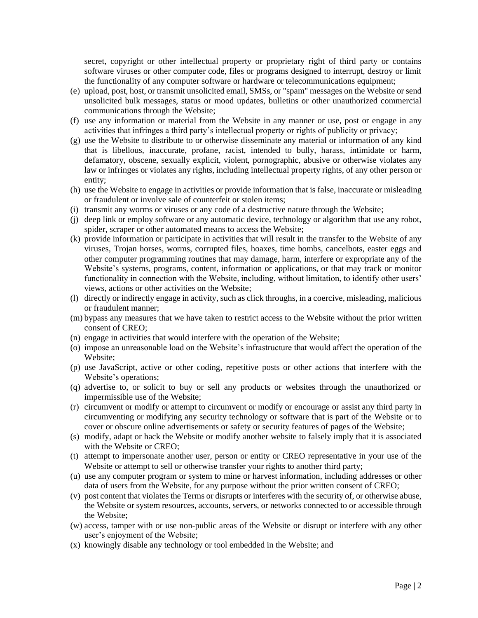secret, copyright or other intellectual property or proprietary right of third party or contains software viruses or other computer code, files or programs designed to interrupt, destroy or limit the functionality of any computer software or hardware or telecommunications equipment;

- (e) upload, post, host, or transmit unsolicited email, SMSs, or "spam" messages on the Website or send unsolicited bulk messages, status or mood updates, bulletins or other unauthorized commercial communications through the Website;
- (f) use any information or material from the Website in any manner or use, post or engage in any activities that infringes a third party's intellectual property or rights of publicity or privacy;
- (g) use the Website to distribute to or otherwise disseminate any material or information of any kind that is libellous, inaccurate, profane, racist, intended to bully, harass, intimidate or harm, defamatory, obscene, sexually explicit, violent, pornographic, abusive or otherwise violates any law or infringes or violates any rights, including intellectual property rights, of any other person or entity;
- (h) use the Website to engage in activities or provide information that is false, inaccurate or misleading or fraudulent or involve sale of counterfeit or stolen items;
- (i) transmit any worms or viruses or any code of a destructive nature through the Website;
- (j) deep link or employ software or any automatic device, technology or algorithm that use any robot, spider, scraper or other automated means to access the Website;
- (k) provide information or participate in activities that will result in the transfer to the Website of any viruses, Trojan horses, worms, corrupted files, hoaxes, time bombs, cancelbots, easter eggs and other computer programming routines that may damage, harm, interfere or expropriate any of the Website's systems, programs, content, information or applications, or that may track or monitor functionality in connection with the Website, including, without limitation, to identify other users' views, actions or other activities on the Website;
- (l) directly or indirectly engage in activity, such as click throughs, in a coercive, misleading, malicious or fraudulent manner;
- (m) bypass any measures that we have taken to restrict access to the Website without the prior written consent of CREO;
- (n) engage in activities that would interfere with the operation of the Website;
- (o) impose an unreasonable load on the Website's infrastructure that would affect the operation of the Website;
- (p) use JavaScript, active or other coding, repetitive posts or other actions that interfere with the Website's operations;
- (q) advertise to, or solicit to buy or sell any products or websites through the unauthorized or impermissible use of the Website;
- (r) circumvent or modify or attempt to circumvent or modify or encourage or assist any third party in circumventing or modifying any security technology or software that is part of the Website or to cover or obscure online advertisements or safety or security features of pages of the Website;
- (s) modify, adapt or hack the Website or modify another website to falsely imply that it is associated with the Website or CREO;
- (t) attempt to impersonate another user, person or entity or CREO representative in your use of the Website or attempt to sell or otherwise transfer your rights to another third party;
- (u) use any computer program or system to mine or harvest information, including addresses or other data of users from the Website, for any purpose without the prior written consent of CREO;
- (v) post content that violates the Terms or disrupts or interferes with the security of, or otherwise abuse, the Website or system resources, accounts, servers, or networks connected to or accessible through the Website;
- (w) access, tamper with or use non-public areas of the Website or disrupt or interfere with any other user's enjoyment of the Website;
- (x) knowingly disable any technology or tool embedded in the Website; and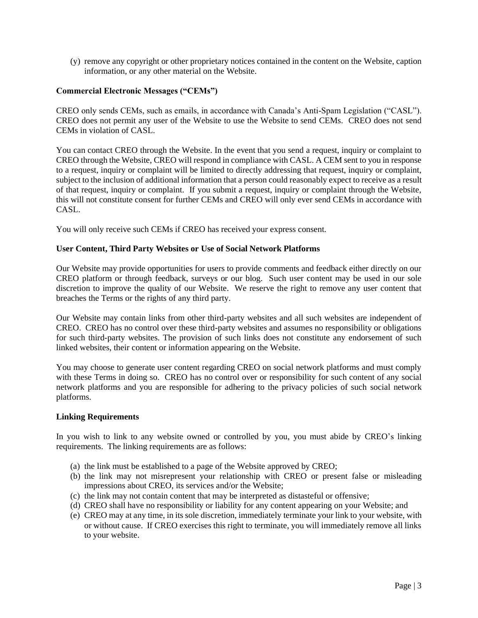(y) remove any copyright or other proprietary notices contained in the content on the Website, caption information, or any other material on the Website.

# **Commercial Electronic Messages ("CEMs")**

CREO only sends CEMs, such as emails, in accordance with Canada's Anti-Spam Legislation ("CASL"). CREO does not permit any user of the Website to use the Website to send CEMs. CREO does not send CEMs in violation of CASL.

You can contact CREO through the Website. In the event that you send a request, inquiry or complaint to CREO through the Website, CREO will respond in compliance with CASL. A CEM sent to you in response to a request, inquiry or complaint will be limited to directly addressing that request, inquiry or complaint, subject to the inclusion of additional information that a person could reasonably expect to receive as a result of that request, inquiry or complaint. If you submit a request, inquiry or complaint through the Website, this will not constitute consent for further CEMs and CREO will only ever send CEMs in accordance with CASL.

You will only receive such CEMs if CREO has received your express consent.

# **User Content, Third Party Websites or Use of Social Network Platforms**

Our Website may provide opportunities for users to provide comments and feedback either directly on our CREO platform or through feedback, surveys or our blog. Such user content may be used in our sole discretion to improve the quality of our Website. We reserve the right to remove any user content that breaches the Terms or the rights of any third party.

Our Website may contain links from other third-party websites and all such websites are independent of CREO. CREO has no control over these third-party websites and assumes no responsibility or obligations for such third-party websites. The provision of such links does not constitute any endorsement of such linked websites, their content or information appearing on the Website.

You may choose to generate user content regarding CREO on social network platforms and must comply with these Terms in doing so. CREO has no control over or responsibility for such content of any social network platforms and you are responsible for adhering to the privacy policies of such social network platforms.

## **Linking Requirements**

In you wish to link to any website owned or controlled by you, you must abide by CREO's linking requirements. The linking requirements are as follows:

- (a) the link must be established to a page of the Website approved by CREO;
- (b) the link may not misrepresent your relationship with CREO or present false or misleading impressions about CREO, its services and/or the Website;
- (c) the link may not contain content that may be interpreted as distasteful or offensive;
- (d) CREO shall have no responsibility or liability for any content appearing on your Website; and
- (e) CREO may at any time, in its sole discretion, immediately terminate your link to your website, with or without cause. If CREO exercises this right to terminate, you will immediately remove all links to your website.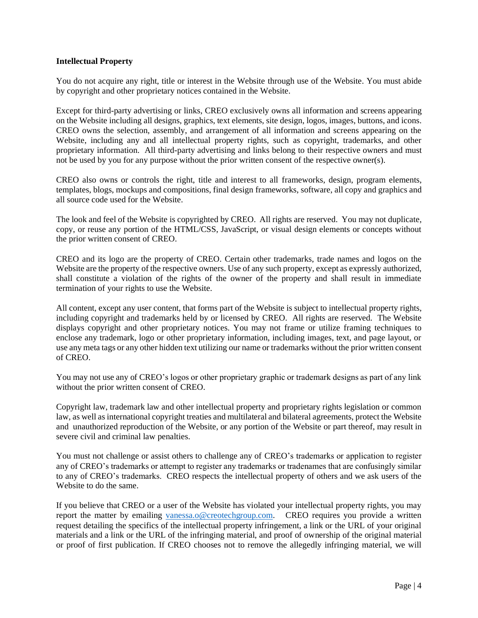## **Intellectual Property**

You do not acquire any right, title or interest in the Website through use of the Website. You must abide by copyright and other proprietary notices contained in the Website.

Except for third-party advertising or links, CREO exclusively owns all information and screens appearing on the Website including all designs, graphics, text elements, site design, logos, images, buttons, and icons. CREO owns the selection, assembly, and arrangement of all information and screens appearing on the Website, including any and all intellectual property rights, such as copyright, trademarks, and other proprietary information. All third-party advertising and links belong to their respective owners and must not be used by you for any purpose without the prior written consent of the respective owner(s).

CREO also owns or controls the right, title and interest to all frameworks, design, program elements, templates, blogs, mockups and compositions, final design frameworks, software, all copy and graphics and all source code used for the Website.

The look and feel of the Website is copyrighted by CREO. All rights are reserved. You may not duplicate, copy, or reuse any portion of the HTML/CSS, JavaScript, or visual design elements or concepts without the prior written consent of CREO.

CREO and its logo are the property of CREO. Certain other trademarks, trade names and logos on the Website are the property of the respective owners. Use of any such property, except as expressly authorized, shall constitute a violation of the rights of the owner of the property and shall result in immediate termination of your rights to use the Website.

All content, except any user content, that forms part of the Website is subject to intellectual property rights, including copyright and trademarks held by or licensed by CREO. All rights are reserved. The Website displays copyright and other proprietary notices. You may not frame or utilize framing techniques to enclose any trademark, logo or other proprietary information, including images, text, and page layout, or use any meta tags or any other hidden text utilizing our name or trademarks without the prior written consent of CREO.

You may not use any of CREO's logos or other proprietary graphic or trademark designs as part of any link without the prior written consent of CREO.

Copyright law, trademark law and other intellectual property and proprietary rights legislation or common law, as well as international copyright treaties and multilateral and bilateral agreements, protect the Website and unauthorized reproduction of the Website, or any portion of the Website or part thereof, may result in severe civil and criminal law penalties.

You must not challenge or assist others to challenge any of CREO's trademarks or application to register any of CREO's trademarks or attempt to register any trademarks or tradenames that are confusingly similar to any of CREO's trademarks. CREO respects the intellectual property of others and we ask users of the Website to do the same.

If you believe that CREO or a user of the Website has violated your intellectual property rights, you may report the matter by emailing [vanessa.o@creotechgroup.com.](mailto:vanessa.o@creotechgroup.com) CREO requires you provide a written request detailing the specifics of the intellectual property infringement, a link or the URL of your original materials and a link or the URL of the infringing material, and proof of ownership of the original material or proof of first publication. If CREO chooses not to remove the allegedly infringing material, we will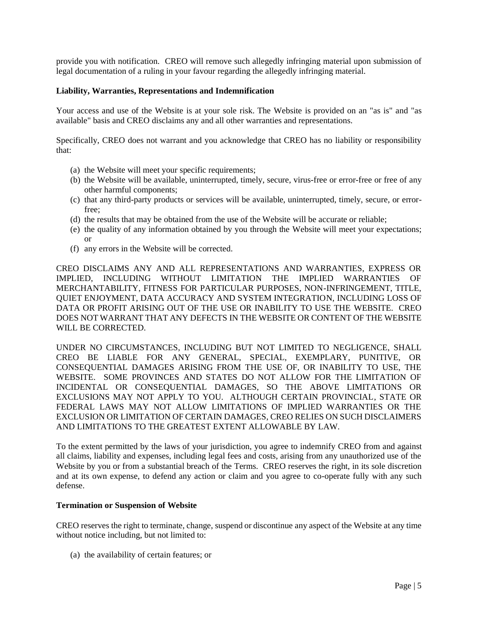provide you with notification. CREO will remove such allegedly infringing material upon submission of legal documentation of a ruling in your favour regarding the allegedly infringing material.

### **Liability, Warranties, Representations and Indemnification**

Your access and use of the Website is at your sole risk. The Website is provided on an "as is" and "as available" basis and CREO disclaims any and all other warranties and representations.

Specifically, CREO does not warrant and you acknowledge that CREO has no liability or responsibility that:

- (a) the Website will meet your specific requirements;
- (b) the Website will be available, uninterrupted, timely, secure, virus-free or error-free or free of any other harmful components;
- (c) that any third-party products or services will be available, uninterrupted, timely, secure, or errorfree;
- (d) the results that may be obtained from the use of the Website will be accurate or reliable;
- (e) the quality of any information obtained by you through the Website will meet your expectations; or
- (f) any errors in the Website will be corrected.

CREO DISCLAIMS ANY AND ALL REPRESENTATIONS AND WARRANTIES, EXPRESS OR IMPLIED, INCLUDING WITHOUT LIMITATION THE IMPLIED WARRANTIES OF MERCHANTABILITY, FITNESS FOR PARTICULAR PURPOSES, NON-INFRINGEMENT, TITLE, QUIET ENJOYMENT, DATA ACCURACY AND SYSTEM INTEGRATION, INCLUDING LOSS OF DATA OR PROFIT ARISING OUT OF THE USE OR INABILITY TO USE THE WEBSITE. CREO DOES NOT WARRANT THAT ANY DEFECTS IN THE WEBSITE OR CONTENT OF THE WEBSITE WILL BE CORRECTED.

UNDER NO CIRCUMSTANCES, INCLUDING BUT NOT LIMITED TO NEGLIGENCE, SHALL CREO BE LIABLE FOR ANY GENERAL, SPECIAL, EXEMPLARY, PUNITIVE, OR CONSEQUENTIAL DAMAGES ARISING FROM THE USE OF, OR INABILITY TO USE, THE WEBSITE. SOME PROVINCES AND STATES DO NOT ALLOW FOR THE LIMITATION OF INCIDENTAL OR CONSEQUENTIAL DAMAGES, SO THE ABOVE LIMITATIONS OR EXCLUSIONS MAY NOT APPLY TO YOU. ALTHOUGH CERTAIN PROVINCIAL, STATE OR FEDERAL LAWS MAY NOT ALLOW LIMITATIONS OF IMPLIED WARRANTIES OR THE EXCLUSION OR LIMITATION OF CERTAIN DAMAGES, CREO RELIES ON SUCH DISCLAIMERS AND LIMITATIONS TO THE GREATEST EXTENT ALLOWABLE BY LAW.

To the extent permitted by the laws of your jurisdiction, you agree to indemnify CREO from and against all claims, liability and expenses, including legal fees and costs, arising from any unauthorized use of the Website by you or from a substantial breach of the Terms. CREO reserves the right, in its sole discretion and at its own expense, to defend any action or claim and you agree to co-operate fully with any such defense.

#### **Termination or Suspension of Website**

CREO reserves the right to terminate, change, suspend or discontinue any aspect of the Website at any time without notice including, but not limited to:

(a) the availability of certain features; or